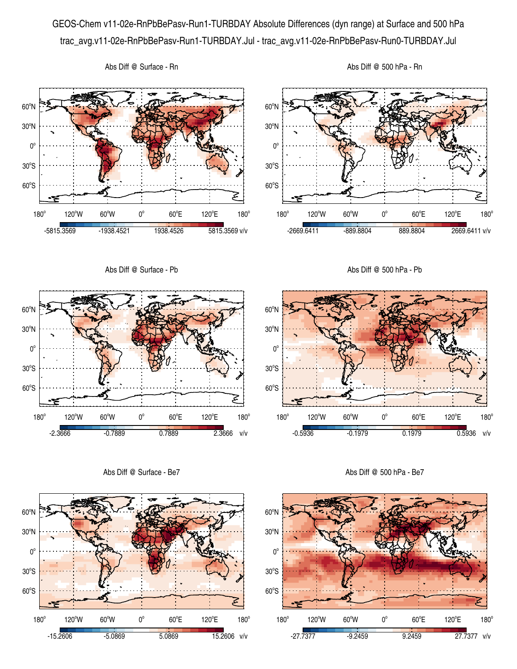## GEOS-Chem v11-02e-RnPbBePasv-Run1-TURBDAY Absolute Differences (dyn range) at Surface and 500 hPa trac\_avg.v11-02e-RnPbBePasv-Run1-TURBDAY.Jul - trac\_avg.v11-02e-RnPbBePasv-Run0-TURBDAY.Jul



Abs Diff @ Surface - Rn

60°S

 $180<sup>°</sup>$ 

120°W 60°W 0°

 $60^{\circ}E$ 

-15.2606 -5.0869 5.0869 15.2606 v/v

120°E

 $180^\circ$ 

60°S

 $180^\circ$ 

120°W 60°W 0°

 $60^{\circ}E$ 

-27.7377 -9.2459 9.2459 27.7377 v/v

120°E

 $180^\circ$ 

 $30^{\circ}$ S

 $0^{\circ}$ 

 $30^{\circ}$ S

 $0^{\circ}$